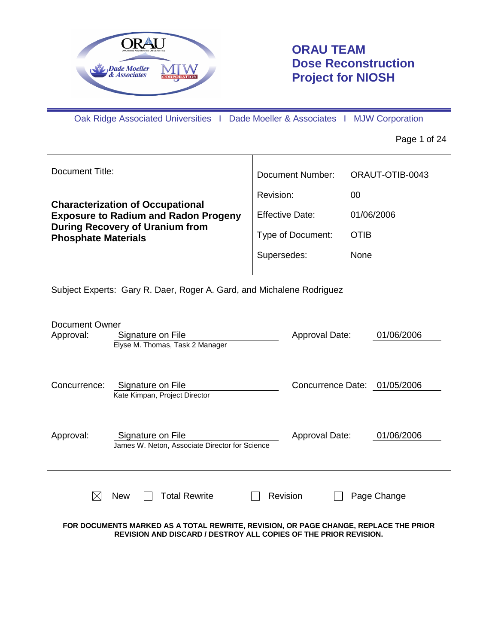

# **ORAU TEAM Dose Reconstruction Project for NIOSH**

Oak Ridge Associated Universities I Dade Moeller & Associates I MJW Corporation

Page 1 of 24

| <b>Document Title:</b>                                                                     | Document Number:       | ORAUT-OTIB-0043              |
|--------------------------------------------------------------------------------------------|------------------------|------------------------------|
|                                                                                            | Revision:              | 00                           |
| <b>Characterization of Occupational</b><br><b>Exposure to Radium and Radon Progeny</b>     | <b>Effective Date:</b> | 01/06/2006                   |
| <b>During Recovery of Uranium from</b><br><b>Phosphate Materials</b>                       | Type of Document:      | <b>OTIB</b>                  |
|                                                                                            | Supersedes:            | None                         |
| Subject Experts: Gary R. Daer, Roger A. Gard, and Michalene Rodriguez                      |                        |                              |
| <b>Document Owner</b><br>Approval:<br>Signature on File<br>Elyse M. Thomas, Task 2 Manager | Approval Date:         | 01/06/2006                   |
| Signature on File<br>Concurrence:<br>Kate Kimpan, Project Director                         |                        | Concurrence Date: 01/05/2006 |
| Approval:<br>Signature on File<br>James W. Neton, Associate Director for Science           | Approval Date:         | 01/06/2006                   |
| <b>Total Rewrite</b><br><b>New</b>                                                         | Revision               | Page Change                  |

### **FOR DOCUMENTS MARKED AS A TOTAL REWRITE, REVISION, OR PAGE CHANGE, REPLACE THE PRIOR REVISION AND DISCARD / DESTROY ALL COPIES OF THE PRIOR REVISION.**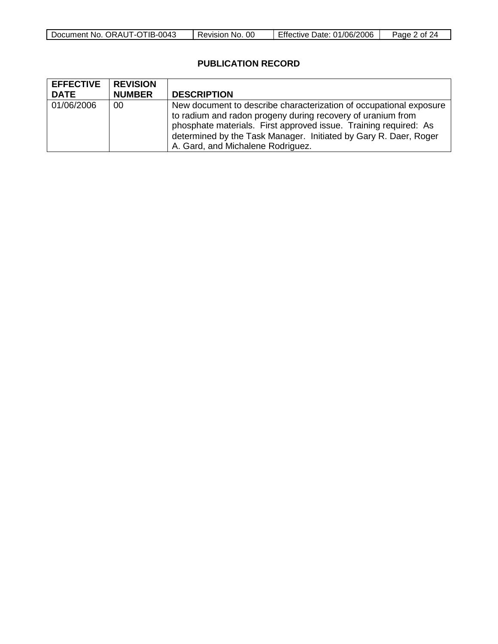| Document No.<br>0043<br>. ORAUT-OTIB- <sup>r</sup> | 0C<br>NO.<br>Revision | Date: 01/06/2006<br>Effective | Page<br>0t |
|----------------------------------------------------|-----------------------|-------------------------------|------------|

# **PUBLICATION RECORD**

| <b>EFFECTIVE</b><br><b>DATE</b> | <b>REVISION</b><br><b>NUMBER</b> | <b>DESCRIPTION</b>                                                                                                                                                                                                                                                                                             |
|---------------------------------|----------------------------------|----------------------------------------------------------------------------------------------------------------------------------------------------------------------------------------------------------------------------------------------------------------------------------------------------------------|
| 01/06/2006                      | 00                               | New document to describe characterization of occupational exposure<br>to radium and radon progeny during recovery of uranium from<br>phosphate materials. First approved issue. Training required: As<br>determined by the Task Manager. Initiated by Gary R. Daer, Roger<br>A. Gard, and Michalene Rodriguez. |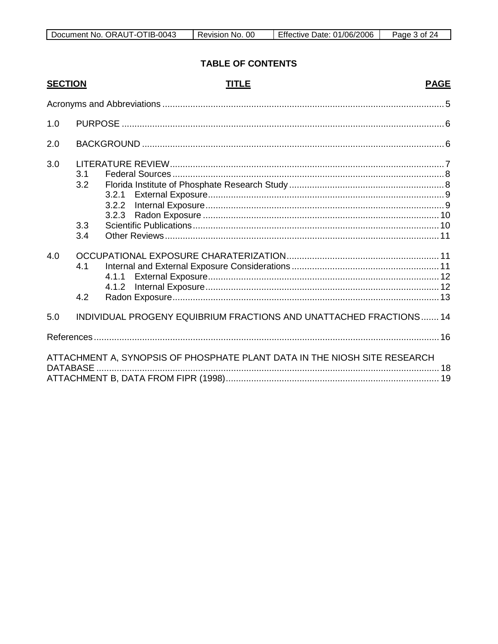| $-0043$<br>-IR-.<br><b>ORAUT</b><br>Document<br>`No.<br>. -v<br>- I L | 00<br>- No<br>Revision | 01/06/2006<br>⊃ate:<br><b>Litective</b> | 'age<br>Ωt<br>୵୵ |
|-----------------------------------------------------------------------|------------------------|-----------------------------------------|------------------|

# **TABLE OF CONTENTS**

| <b>SECTION</b>  |            | <b>PAGE</b><br><b>TITLE</b>                                               |  |
|-----------------|------------|---------------------------------------------------------------------------|--|
|                 |            |                                                                           |  |
| 1.0             |            |                                                                           |  |
| 2.0             |            |                                                                           |  |
| 3.0             | 3.1<br>3.2 | 3.2.1<br>3.2.2<br>3.2.3                                                   |  |
|                 | 3.3<br>3.4 |                                                                           |  |
| 4.0             | 4.1<br>4.2 | 4.1.1<br>4.1.2                                                            |  |
| 5.0             |            | INDIVIDUAL PROGENY EQUIBRIUM FRACTIONS AND UNATTACHED FRACTIONS 14        |  |
|                 |            |                                                                           |  |
| <b>DATABASE</b> |            | ATTACHMENT A, SYNOPSIS OF PHOSPHATE PLANT DATA IN THE NIOSH SITE RESEARCH |  |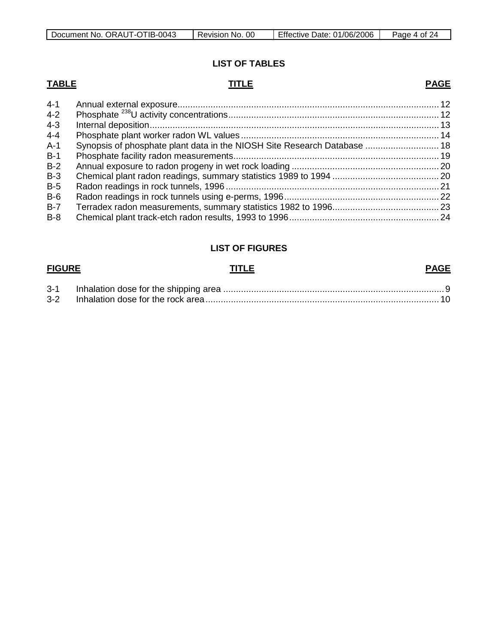| Document No. ORAUT-OTIB-0043 | Revision No. 00 | Effective Date: 01/06/2006 | Page 4 of 24 |
|------------------------------|-----------------|----------------------------|--------------|
|------------------------------|-----------------|----------------------------|--------------|

# **LIST OF TABLES**

# **TABLE TITLE PAGE**

| 4-1     |                                                                          |  |
|---------|--------------------------------------------------------------------------|--|
| $4 - 2$ |                                                                          |  |
| $4 - 3$ |                                                                          |  |
| $4 - 4$ |                                                                          |  |
| A-1     | Synopsis of phosphate plant data in the NIOSH Site Research Database  18 |  |
| $B-1$   |                                                                          |  |
| $B-2$   |                                                                          |  |
| $B-3$   |                                                                          |  |
| $B-5$   |                                                                          |  |
| $B-6$   |                                                                          |  |
| $B-7$   |                                                                          |  |
| $B-8$   |                                                                          |  |
|         |                                                                          |  |

# **LIST OF FIGURES**

### **FIGURE TITLE PAGE**

| 3-1     |  |
|---------|--|
| $3 - 2$ |  |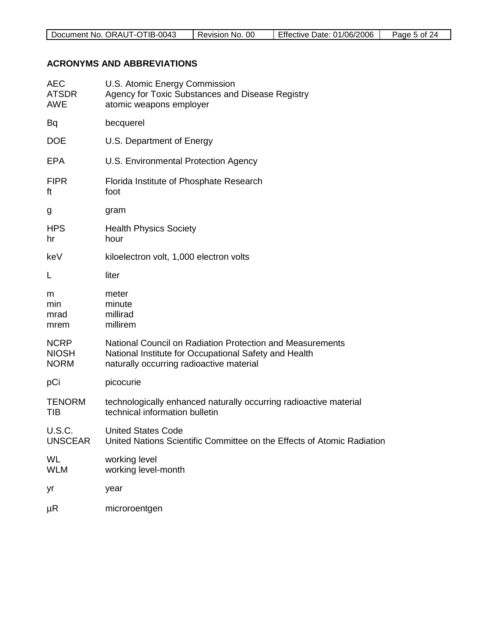| $-0043$<br>. ORAUT-OTIB-<br>Document No. | 00<br>Revision<br>No. | Effective Date: 01/06/2006 | Page<br>.5 of |
|------------------------------------------|-----------------------|----------------------------|---------------|
|                                          |                       |                            |               |

# **ACRONYMS AND ABBREVIATIONS**

| <b>AEC</b><br><b>ATSDR</b><br><b>AWE</b>   | U.S. Atomic Energy Commission<br>Agency for Toxic Substances and Disease Registry<br>atomic weapons employer                                                   |
|--------------------------------------------|----------------------------------------------------------------------------------------------------------------------------------------------------------------|
| Bq                                         | becquerel                                                                                                                                                      |
| <b>DOE</b>                                 | U.S. Department of Energy                                                                                                                                      |
| <b>EPA</b>                                 | U.S. Environmental Protection Agency                                                                                                                           |
| <b>FIPR</b><br>ft                          | Florida Institute of Phosphate Research<br>foot                                                                                                                |
| g                                          | gram                                                                                                                                                           |
| <b>HPS</b><br>hr                           | <b>Health Physics Society</b><br>hour                                                                                                                          |
| keV                                        | kiloelectron volt, 1,000 electron volts                                                                                                                        |
| L                                          | liter                                                                                                                                                          |
| m<br>min<br>mrad<br>mrem                   | meter<br>minute<br>millirad<br>millirem                                                                                                                        |
| <b>NCRP</b><br><b>NIOSH</b><br><b>NORM</b> | National Council on Radiation Protection and Measurements<br>National Institute for Occupational Safety and Health<br>naturally occurring radioactive material |
| pCi                                        | picocurie                                                                                                                                                      |
| <b>TENORM</b><br><b>TIB</b>                | technologically enhanced naturally occurring radioactive material<br>technical information bulletin                                                            |
| <b>U.S.C.</b><br><b>UNSCEAR</b>            | <b>United States Code</b><br>United Nations Scientific Committee on the Effects of Atomic Radiation                                                            |
| WL<br><b>WLM</b>                           | working level<br>working level-month                                                                                                                           |
| yr                                         | year                                                                                                                                                           |
| $\mu$ R                                    | microroentgen                                                                                                                                                  |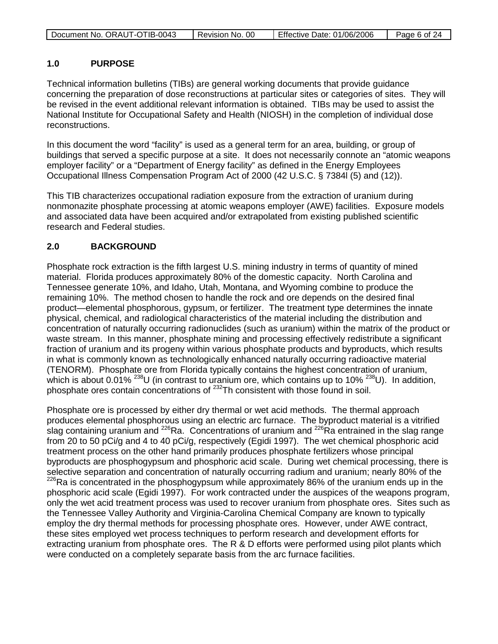|  | Document No. ORAUT-OTIB-0043 | Revision No. 00 | Effective Date: 01/06/2006 | Page 6 of 24 |
|--|------------------------------|-----------------|----------------------------|--------------|
|--|------------------------------|-----------------|----------------------------|--------------|

# **1.0 PURPOSE**

Technical information bulletins (TIBs) are general working documents that provide guidance concerning the preparation of dose reconstructions at particular sites or categories of sites. They will be revised in the event additional relevant information is obtained. TIBs may be used to assist the National Institute for Occupational Safety and Health (NIOSH) in the completion of individual dose reconstructions.

In this document the word "facility" is used as a general term for an area, building, or group of buildings that served a specific purpose at a site. It does not necessarily connote an "atomic weapons employer facility" or a "Department of Energy facility" as defined in the Energy Employees Occupational Illness Compensation Program Act of 2000 (42 U.S.C. § 7384l (5) and (12)).

This TIB characterizes occupational radiation exposure from the extraction of uranium during nonmonazite phosphate processing at atomic weapons employer (AWE) facilities. Exposure models and associated data have been acquired and/or extrapolated from existing published scientific research and Federal studies.

# **2.0 BACKGROUND**

Phosphate rock extraction is the fifth largest U.S. mining industry in terms of quantity of mined material. Florida produces approximately 80% of the domestic capacity. North Carolina and Tennessee generate 10%, and Idaho, Utah, Montana, and Wyoming combine to produce the remaining 10%. The method chosen to handle the rock and ore depends on the desired final product—elemental phosphorous, gypsum, or fertilizer. The treatment type determines the innate physical, chemical, and radiological characteristics of the material including the distribution and concentration of naturally occurring radionuclides (such as uranium) within the matrix of the product or waste stream. In this manner, phosphate mining and processing effectively redistribute a significant fraction of uranium and its progeny within various phosphate products and byproducts, which results in what is commonly known as technologically enhanced naturally occurring radioactive material (TENORM). Phosphate ore from Florida typically contains the highest concentration of uranium, which is about 0.01% <sup>238</sup>U (in contrast to uranium ore, which contains up to 10% <sup>238</sup>U). In addition, phosphate ores contain concentrations of <sup>232</sup>Th consistent with those found in soil.

Phosphate ore is processed by either dry thermal or wet acid methods. The thermal approach produces elemental phosphorous using an electric arc furnace. The byproduct material is a vitrified slag containing uranium and  $226$ Ra. Concentrations of uranium and  $226$ Ra entrained in the slag range from 20 to 50 pCi/g and 4 to 40 pCi/g, respectively (Egidi 1997). The wet chemical phosphoric acid treatment process on the other hand primarily produces phosphate fertilizers whose principal byproducts are phosphogypsum and phosphoric acid scale. During wet chemical processing, there is selective separation and concentration of naturally occurring radium and uranium; nearly 80% of the 226Ra is concentrated in the phosphogypsum while approximately 86% of the uranium ends up in the phosphoric acid scale (Egidi 1997). For work contracted under the auspices of the weapons program, only the wet acid treatment process was used to recover uranium from phosphate ores. Sites such as the Tennessee Valley Authority and Virginia-Carolina Chemical Company are known to typically employ the dry thermal methods for processing phosphate ores. However, under AWE contract, these sites employed wet process techniques to perform research and development efforts for extracting uranium from phosphate ores. The R & D efforts were performed using pilot plants which were conducted on a completely separate basis from the arc furnace facilities.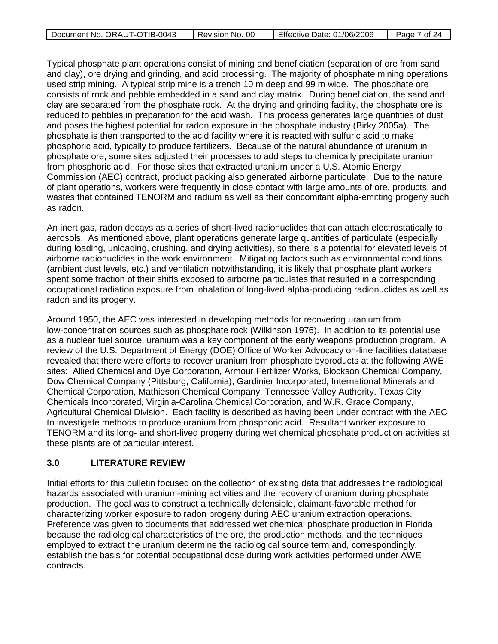| Document No. ORAUT-OTIB-0043 | -00<br>Revision No. | Effective Date: 01/06/2006 | 7 of 24<br>Page, |
|------------------------------|---------------------|----------------------------|------------------|
|                              |                     |                            |                  |

Typical phosphate plant operations consist of mining and beneficiation (separation of ore from sand and clay), ore drying and grinding, and acid processing. The majority of phosphate mining operations used strip mining. A typical strip mine is a trench 10 m deep and 99 m wide. The phosphate ore consists of rock and pebble embedded in a sand and clay matrix. During beneficiation, the sand and clay are separated from the phosphate rock. At the drying and grinding facility, the phosphate ore is reduced to pebbles in preparation for the acid wash. This process generates large quantities of dust and poses the highest potential for radon exposure in the phosphate industry (Birky 2005a). The phosphate is then transported to the acid facility where it is reacted with sulfuric acid to make phosphoric acid, typically to produce fertilizers. Because of the natural abundance of uranium in phosphate ore, some sites adjusted their processes to add steps to chemically precipitate uranium from phosphoric acid. For those sites that extracted uranium under a U.S. Atomic Energy Commission (AEC) contract, product packing also generated airborne particulate. Due to the nature of plant operations, workers were frequently in close contact with large amounts of ore, products, and wastes that contained TENORM and radium as well as their concomitant alpha-emitting progeny such as radon.

An inert gas, radon decays as a series of short-lived radionuclides that can attach electrostatically to aerosols. As mentioned above, plant operations generate large quantities of particulate (especially during loading, unloading, crushing, and drying activities), so there is a potential for elevated levels of airborne radionuclides in the work environment. Mitigating factors such as environmental conditions (ambient dust levels, etc.) and ventilation notwithstanding, it is likely that phosphate plant workers spent some fraction of their shifts exposed to airborne particulates that resulted in a corresponding occupational radiation exposure from inhalation of long-lived alpha-producing radionuclides as well as radon and its progeny.

Around 1950, the AEC was interested in developing methods for recovering uranium from low-concentration sources such as phosphate rock (Wilkinson 1976). In addition to its potential use as a nuclear fuel source, uranium was a key component of the early weapons production program. A review of the U.S. Department of Energy (DOE) Office of Worker Advocacy on-line facilities database revealed that there were efforts to recover uranium from phosphate byproducts at the following AWE sites: Allied Chemical and Dye Corporation, Armour Fertilizer Works, Blockson Chemical Company, Dow Chemical Company (Pittsburg, California), Gardinier Incorporated, International Minerals and Chemical Corporation, Mathieson Chemical Company, Tennessee Valley Authority, Texas City Chemicals Incorporated, Virginia-Carolina Chemical Corporation, and W.R. Grace Company, Agricultural Chemical Division. Each facility is described as having been under contract with the AEC to investigate methods to produce uranium from phosphoric acid. Resultant worker exposure to TENORM and its long- and short-lived progeny during wet chemical phosphate production activities at these plants are of particular interest.

# **3.0 LITERATURE REVIEW**

Initial efforts for this bulletin focused on the collection of existing data that addresses the radiological hazards associated with uranium-mining activities and the recovery of uranium during phosphate production. The goal was to construct a technically defensible, claimant-favorable method for characterizing worker exposure to radon progeny during AEC uranium extraction operations. Preference was given to documents that addressed wet chemical phosphate production in Florida because the radiological characteristics of the ore, the production methods, and the techniques employed to extract the uranium determine the radiological source term and, correspondingly, establish the basis for potential occupational dose during work activities performed under AWE contracts.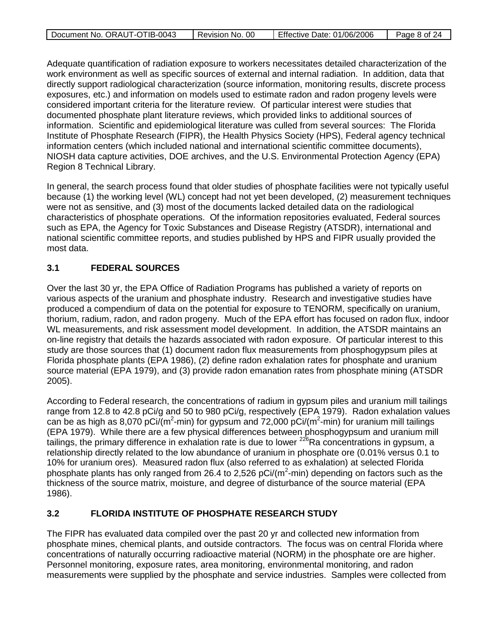| Document No. ORAUT-OTIB-0043 | Revision No. 00 | Effective Date: 01/06/2006 | Page 8 of 24 |
|------------------------------|-----------------|----------------------------|--------------|
|                              |                 |                            |              |

Adequate quantification of radiation exposure to workers necessitates detailed characterization of the work environment as well as specific sources of external and internal radiation. In addition, data that directly support radiological characterization (source information, monitoring results, discrete process exposures, etc.) and information on models used to estimate radon and radon progeny levels were considered important criteria for the literature review. Of particular interest were studies that documented phosphate plant literature reviews, which provided links to additional sources of information. Scientific and epidemiological literature was culled from several sources: The Florida Institute of Phosphate Research (FIPR), the Health Physics Society (HPS), Federal agency technical information centers (which included national and international scientific committee documents), NIOSH data capture activities, DOE archives, and the U.S. Environmental Protection Agency (EPA) Region 8 Technical Library.

In general, the search process found that older studies of phosphate facilities were not typically useful because (1) the working level (WL) concept had not yet been developed, (2) measurement techniques were not as sensitive, and (3) most of the documents lacked detailed data on the radiological characteristics of phosphate operations. Of the information repositories evaluated, Federal sources such as EPA, the Agency for Toxic Substances and Disease Registry (ATSDR), international and national scientific committee reports, and studies published by HPS and FIPR usually provided the most data.

# **3.1 FEDERAL SOURCES**

Over the last 30 yr, the EPA Office of Radiation Programs has published a variety of reports on various aspects of the uranium and phosphate industry. Research and investigative studies have produced a compendium of data on the potential for exposure to TENORM, specifically on uranium, thorium, radium, radon, and radon progeny. Much of the EPA effort has focused on radon flux, indoor WL measurements, and risk assessment model development. In addition, the ATSDR maintains an on-line registry that details the hazards associated with radon exposure. Of particular interest to this study are those sources that (1) document radon flux measurements from phosphogypsum piles at Florida phosphate plants (EPA 1986), (2) define radon exhalation rates for phosphate and uranium source material (EPA 1979), and (3) provide radon emanation rates from phosphate mining (ATSDR 2005).

According to Federal research, the concentrations of radium in gypsum piles and uranium mill tailings range from 12.8 to 42.8 pCi/g and 50 to 980 pCi/g, respectively (EPA 1979). Radon exhalation values can be as high as 8,070 pCi/(m<sup>2</sup>-min) for gypsum and 72,000 pCi/(m<sup>2</sup>-min) for uranium mill tailings (EPA 1979). While there are a few physical differences between phosphogypsum and uranium mill tailings, the primary difference in exhalation rate is due to lower  $226$ Ra concentrations in gypsum, a relationship directly related to the low abundance of uranium in phosphate ore (0.01% versus 0.1 to 10% for uranium ores). Measured radon flux (also referred to as exhalation) at selected Florida phosphate plants has only ranged from 26.4 to 2,526 pCi/(m<sup>2</sup>-min) depending on factors such as the thickness of the source matrix, moisture, and degree of disturbance of the source material (EPA 1986).

# **3.2 FLORIDA INSTITUTE OF PHOSPHATE RESEARCH STUDY**

The FIPR has evaluated data compiled over the past 20 yr and collected new information from phosphate mines, chemical plants, and outside contractors. The focus was on central Florida where concentrations of naturally occurring radioactive material (NORM) in the phosphate ore are higher. Personnel monitoring, exposure rates, area monitoring, environmental monitoring, and radon measurements were supplied by the phosphate and service industries. Samples were collected from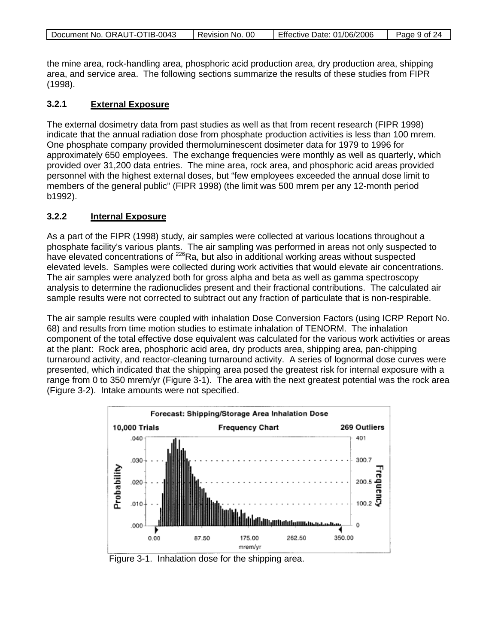| Document No. ORAUT-OTIB-0043 | Revision No. 00 | Effective Date: 01/06/2006 | Page 9 of 24 |
|------------------------------|-----------------|----------------------------|--------------|
|                              |                 |                            |              |

the mine area, rock-handling area, phosphoric acid production area, dry production area, shipping area, and service area. The following sections summarize the results of these studies from FIPR (1998).

### **3.2.1 External Exposure**

The external dosimetry data from past studies as well as that from recent research (FIPR 1998) indicate that the annual radiation dose from phosphate production activities is less than 100 mrem. One phosphate company provided thermoluminescent dosimeter data for 1979 to 1996 for approximately 650 employees. The exchange frequencies were monthly as well as quarterly, which provided over 31,200 data entries. The mine area, rock area, and phosphoric acid areas provided personnel with the highest external doses, but "few employees exceeded the annual dose limit to members of the general public" (FIPR 1998) (the limit was 500 mrem per any 12-month period b1992).

### **3.2.2 Internal Exposure**

As a part of the FIPR (1998) study, air samples were collected at various locations throughout a phosphate facility's various plants. The air sampling was performed in areas not only suspected to have elevated concentrations of <sup>226</sup>Ra, but also in additional working areas without suspected elevated levels. Samples were collected during work activities that would elevate air concentrations. The air samples were analyzed both for gross alpha and beta as well as gamma spectroscopy analysis to determine the radionuclides present and their fractional contributions. The calculated air sample results were not corrected to subtract out any fraction of particulate that is non-respirable.

The air sample results were coupled with inhalation Dose Conversion Factors (using ICRP Report No. 68) and results from time motion studies to estimate inhalation of TENORM. The inhalation component of the total effective dose equivalent was calculated for the various work activities or areas at the plant: Rock area, phosphoric acid area, dry products area, shipping area, pan-chipping turnaround activity, and reactor-cleaning turnaround activity. A series of lognormal dose curves were presented, which indicated that the shipping area posed the greatest risk for internal exposure with a range from 0 to 350 mrem/yr (Figure 3-1). The area with the next greatest potential was the rock area (Figure 3-2). Intake amounts were not specified.



Figure 3-1. Inhalation dose for the shipping area.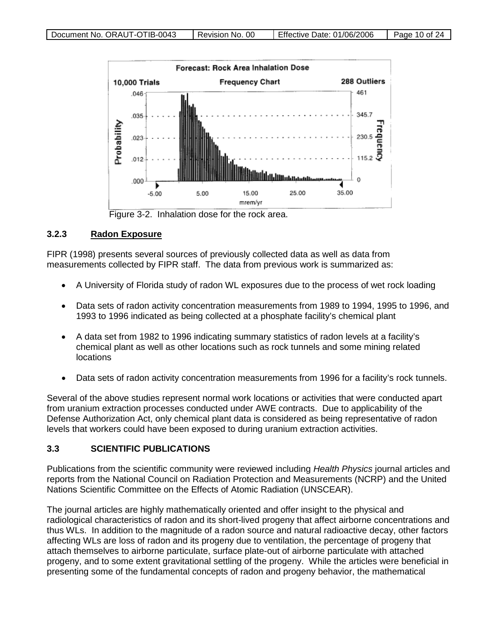

Figure 3-2. Inhalation dose for the rock area.

### **3.2.3 Radon Exposure**

FIPR (1998) presents several sources of previously collected data as well as data from measurements collected by FIPR staff. The data from previous work is summarized as:

- A University of Florida study of radon WL exposures due to the process of wet rock loading
- Data sets of radon activity concentration measurements from 1989 to 1994, 1995 to 1996, and 1993 to 1996 indicated as being collected at a phosphate facility's chemical plant
- A data set from 1982 to 1996 indicating summary statistics of radon levels at a facility's chemical plant as well as other locations such as rock tunnels and some mining related locations
- Data sets of radon activity concentration measurements from 1996 for a facility's rock tunnels.

Several of the above studies represent normal work locations or activities that were conducted apart from uranium extraction processes conducted under AWE contracts. Due to applicability of the Defense Authorization Act, only chemical plant data is considered as being representative of radon levels that workers could have been exposed to during uranium extraction activities.

# **3.3 SCIENTIFIC PUBLICATIONS**

Publications from the scientific community were reviewed including *Health Physics* journal articles and reports from the National Council on Radiation Protection and Measurements (NCRP) and the United Nations Scientific Committee on the Effects of Atomic Radiation (UNSCEAR).

The journal articles are highly mathematically oriented and offer insight to the physical and radiological characteristics of radon and its short-lived progeny that affect airborne concentrations and thus WLs. In addition to the magnitude of a radon source and natural radioactive decay, other factors affecting WLs are loss of radon and its progeny due to ventilation, the percentage of progeny that attach themselves to airborne particulate, surface plate-out of airborne particulate with attached progeny, and to some extent gravitational settling of the progeny. While the articles were beneficial in presenting some of the fundamental concepts of radon and progeny behavior, the mathematical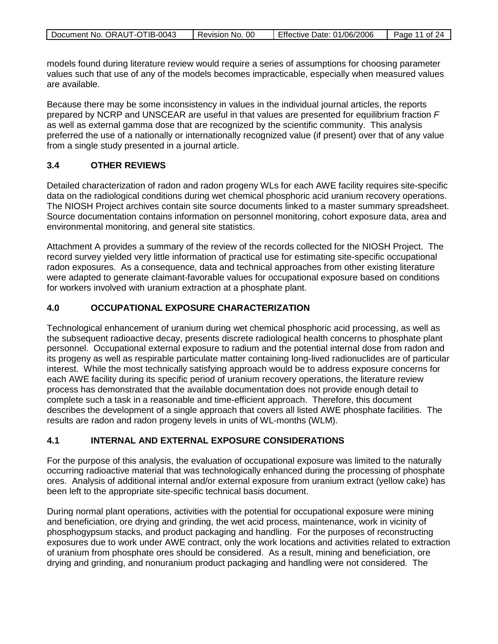| Document No. ORAUT-OTIB-0043 | Revision No. 00 | Effective Date: 01/06/2006 | Page 11 of 24 |
|------------------------------|-----------------|----------------------------|---------------|

models found during literature review would require a series of assumptions for choosing parameter values such that use of any of the models becomes impracticable, especially when measured values are available.

Because there may be some inconsistency in values in the individual journal articles, the reports prepared by NCRP and UNSCEAR are useful in that values are presented for equilibrium fraction *F* as well as external gamma dose that are recognized by the scientific community. This analysis preferred the use of a nationally or internationally recognized value (if present) over that of any value from a single study presented in a journal article.

# **3.4 OTHER REVIEWS**

Detailed characterization of radon and radon progeny WLs for each AWE facility requires site-specific data on the radiological conditions during wet chemical phosphoric acid uranium recovery operations. The NIOSH Project archives contain site source documents linked to a master summary spreadsheet. Source documentation contains information on personnel monitoring, cohort exposure data, area and environmental monitoring, and general site statistics.

Attachment A provides a summary of the review of the records collected for the NIOSH Project. The record survey yielded very little information of practical use for estimating site-specific occupational radon exposures. As a consequence, data and technical approaches from other existing literature were adapted to generate claimant-favorable values for occupational exposure based on conditions for workers involved with uranium extraction at a phosphate plant.

# **4.0 OCCUPATIONAL EXPOSURE CHARACTERIZATION**

Technological enhancement of uranium during wet chemical phosphoric acid processing, as well as the subsequent radioactive decay, presents discrete radiological health concerns to phosphate plant personnel. Occupational external exposure to radium and the potential internal dose from radon and its progeny as well as respirable particulate matter containing long-lived radionuclides are of particular interest. While the most technically satisfying approach would be to address exposure concerns for each AWE facility during its specific period of uranium recovery operations, the literature review process has demonstrated that the available documentation does not provide enough detail to complete such a task in a reasonable and time-efficient approach. Therefore, this document describes the development of a single approach that covers all listed AWE phosphate facilities. The results are radon and radon progeny levels in units of WL-months (WLM).

# **4.1 INTERNAL AND EXTERNAL EXPOSURE CONSIDERATIONS**

For the purpose of this analysis, the evaluation of occupational exposure was limited to the naturally occurring radioactive material that was technologically enhanced during the processing of phosphate ores. Analysis of additional internal and/or external exposure from uranium extract (yellow cake) has been left to the appropriate site-specific technical basis document.

During normal plant operations, activities with the potential for occupational exposure were mining and beneficiation, ore drying and grinding, the wet acid process, maintenance, work in vicinity of phosphogypsum stacks, and product packaging and handling. For the purposes of reconstructing exposures due to work under AWE contract, only the work locations and activities related to extraction of uranium from phosphate ores should be considered. As a result, mining and beneficiation, ore drying and grinding, and nonuranium product packaging and handling were not considered. The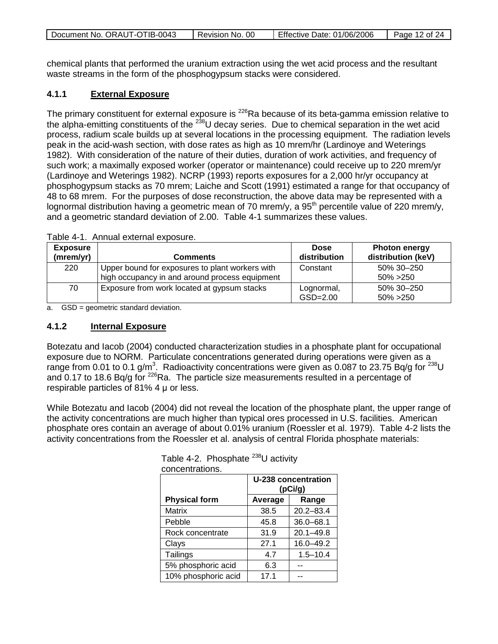| Document No. ORAUT-OTIB-0043 | Revision No. 00 | Effective Date: 01/06/2006 | Page 12 of 24 |
|------------------------------|-----------------|----------------------------|---------------|
|                              |                 |                            |               |

chemical plants that performed the uranium extraction using the wet acid process and the resultant waste streams in the form of the phosphogypsum stacks were considered.

### **4.1.1 External Exposure**

The primary constituent for external exposure is <sup>226</sup>Ra because of its beta-gamma emission relative to the alpha-emitting constituents of the <sup>238</sup>U decay series. Due to chemical separation in the wet acid process, radium scale builds up at several locations in the processing equipment. The radiation levels peak in the acid-wash section, with dose rates as high as 10 mrem/hr (Lardinoye and Weterings 1982). With consideration of the nature of their duties, duration of work activities, and frequency of such work; a maximally exposed worker (operator or maintenance) could receive up to 220 mrem/yr (Lardinoye and Weterings 1982). NCRP (1993) reports exposures for a 2,000 hr/yr occupancy at phosphogypsum stacks as 70 mrem; Laiche and Scott (1991) estimated a range for that occupancy of 48 to 68 mrem. For the purposes of dose reconstruction, the above data may be represented with a lognormal distribution having a geometric mean of 70 mrem/y, a  $95<sup>th</sup>$  percentile value of 220 mrem/y, and a geometric standard deviation of 2.00. Table 4-1 summarizes these values.

| <b>Exposure</b><br>(mrem/yr) | <b>Comments</b>                                                                                   | <b>Dose</b><br>distribution | <b>Photon energy</b><br>distribution (keV) |
|------------------------------|---------------------------------------------------------------------------------------------------|-----------------------------|--------------------------------------------|
| 220                          | Upper bound for exposures to plant workers with<br>high occupancy in and around process equipment | Constant                    | 50% 30-250<br>$50\% > 250$                 |
| 70                           | Exposure from work located at gypsum stacks                                                       | Lognormal,<br>$GSD=2.00$    | 50% 30–250<br>$50\% > 250$                 |

Table 4-1. Annual external exposure.

a. GSD = geometric standard deviation.

### **4.1.2 Internal Exposure**

Botezatu and Iacob (2004) conducted characterization studies in a phosphate plant for occupational exposure due to NORM. Particulate concentrations generated during operations were given as a range from 0.01 to 0.1 g/m<sup>3</sup>. Radioactivity concentrations were given as 0.087 to 23.75 Bq/g for  $^{238}$ U and 0.17 to 18.6 Bq/g for <sup>226</sup>Ra. The particle size measurements resulted in a percentage of respirable particles of 81% 4 μ or less.

While Botezatu and Iacob (2004) did not reveal the location of the phosphate plant, the upper range of the activity concentrations are much higher than typical ores processed in U.S. facilities. American phosphate ores contain an average of about 0.01% uranium (Roessler et al. 1979). Table 4-2 lists the activity concentrations from the Roessler et al. analysis of central Florida phosphate materials:

|                      | U-238 concentration<br>(pCi/g) |               |  |
|----------------------|--------------------------------|---------------|--|
| <b>Physical form</b> | Average                        | Range         |  |
| <b>Matrix</b>        | 38.5                           | $20.2 - 83.4$ |  |
| Pebble               | 45.8                           | $36.0 - 68.1$ |  |
| Rock concentrate     | 31.9                           | $20.1 - 49.8$ |  |
| Clays                | 27.1                           | $16.0 - 49.2$ |  |
| Tailings             | 4.7                            | $1.5 - 10.4$  |  |
| 5% phosphoric acid   | 6.3                            |               |  |
| 10% phosphoric acid  | 17.1                           |               |  |

Table 4-2. Phosphate  $^{238}$ U activity concentrations.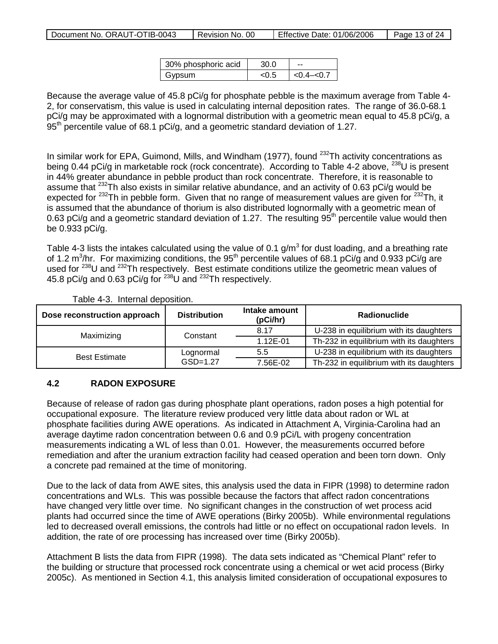| Effective Date: 01/06/2006<br>Document No. ORAUT-OTIB-0043<br>Revision No. 00 |  | Page 13 of 24 |
|-------------------------------------------------------------------------------|--|---------------|
|-------------------------------------------------------------------------------|--|---------------|

| 30% phosphoric acid | 30 O   |                 |
|---------------------|--------|-----------------|
| Gypsum              | <( ) 5 | $< 0.4 - < 0.7$ |

Because the average value of 45.8 pCi/g for phosphate pebble is the maximum average from Table 4- 2, for conservatism, this value is used in calculating internal deposition rates. The range of 36.0-68.1 pCi/g may be approximated with a lognormal distribution with a geometric mean equal to 45.8 pCi/g, a  $95<sup>th</sup>$  percentile value of 68.1 pCi/g, and a geometric standard deviation of 1.27.

In similar work for EPA, Guimond, Mills, and Windham (1977), found  $^{232}$ Th activity concentrations as being 0.44 pCi/g in marketable rock (rock concentrate). According to Table 4-2 above, <sup>238</sup>U is present in 44% greater abundance in pebble product than rock concentrate. Therefore, it is reasonable to assume that 232Th also exists in similar relative abundance, and an activity of 0.63 pCi/g would be expected for <sup>232</sup>Th in pebble form. Given that no range of measurement values are given for <sup>232</sup>Th, it is assumed that the abundance of thorium is also distributed lognormally with a geometric mean of 0.63 pCi/g and a geometric standard deviation of 1.27. The resulting 95<sup>th</sup> percentile value would then be 0.933 pCi/g.

Table 4-3 lists the intakes calculated using the value of 0.1  $q/m<sup>3</sup>$  for dust loading, and a breathing rate of 1.2 m<sup>3</sup>/hr. For maximizing conditions, the 95<sup>th</sup> percentile values of 68.1 pCi/g and 0.933 pCi/g are used for <sup>238</sup>U and <sup>232</sup>Th respectively. Best estimate conditions utilize the geometric mean values of 45.8 pCi/g and 0.63 pCi/g for 238U and 232Th respectively.

| Dose reconstruction approach | <b>Distribution</b> | Intake amount<br>(pCi/hr) | Radionuclide                             |
|------------------------------|---------------------|---------------------------|------------------------------------------|
| Maximizing                   | Constant            | 8.17                      | U-238 in equilibrium with its daughters  |
|                              |                     | 1.12E-01                  | Th-232 in equilibrium with its daughters |
| <b>Best Estimate</b>         | Lognormal           | 5.5                       | U-238 in equilibrium with its daughters  |
|                              | $GSD=1.27$          | 7.56E-02                  | Th-232 in equilibrium with its daughters |

Table 4-3. Internal deposition.

# **4.2 RADON EXPOSURE**

Because of release of radon gas during phosphate plant operations, radon poses a high potential for occupational exposure. The literature review produced very little data about radon or WL at phosphate facilities during AWE operations. As indicated in Attachment A, Virginia-Carolina had an average daytime radon concentration between 0.6 and 0.9 pCi/L with progeny concentration measurements indicating a WL of less than 0.01. However, the measurements occurred before remediation and after the uranium extraction facility had ceased operation and been torn down. Only a concrete pad remained at the time of monitoring.

Due to the lack of data from AWE sites, this analysis used the data in FIPR (1998) to determine radon concentrations and WLs. This was possible because the factors that affect radon concentrations have changed very little over time. No significant changes in the construction of wet process acid plants had occurred since the time of AWE operations (Birky 2005b). While environmental regulations led to decreased overall emissions, the controls had little or no effect on occupational radon levels. In addition, the rate of ore processing has increased over time (Birky 2005b).

Attachment B lists the data from FIPR (1998). The data sets indicated as "Chemical Plant" refer to the building or structure that processed rock concentrate using a chemical or wet acid process (Birky 2005c). As mentioned in Section 4.1, this analysis limited consideration of occupational exposures to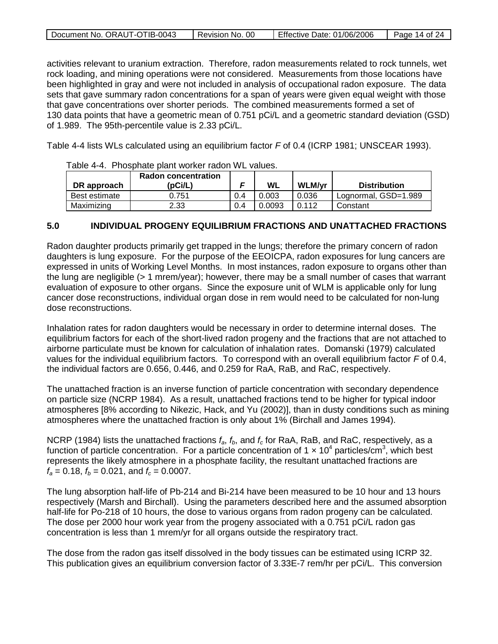| Document No. ORAUT-OTIB-0043 | Revision No. 00 | Effective Date: 01/06/2006 | Page 14 of 24 |
|------------------------------|-----------------|----------------------------|---------------|

activities relevant to uranium extraction. Therefore, radon measurements related to rock tunnels, wet rock loading, and mining operations were not considered. Measurements from those locations have been highlighted in gray and were not included in analysis of occupational radon exposure. The data sets that gave summary radon concentrations for a span of years were given equal weight with those that gave concentrations over shorter periods. The combined measurements formed a set of 130 data points that have a geometric mean of 0.751 pCi/L and a geometric standard deviation (GSD) of 1.989. The 95th-percentile value is 2.33 pCi/L.

Table 4-4 lists WLs calculated using an equilibrium factor *F* of 0.4 (ICRP 1981; UNSCEAR 1993).

| Table 4-4. FIJOSDITate DiaTit worker Tagoli VVL Values. |                            |     |        |        |                      |  |
|---------------------------------------------------------|----------------------------|-----|--------|--------|----------------------|--|
|                                                         | <b>Radon concentration</b> |     |        |        |                      |  |
| DR approach                                             | (pCi/L)                    | c   | WL     | WLM/vr | <b>Distribution</b>  |  |
| Best estimate                                           | 0.751                      | 0.4 | 0.003  | 0.036  | Lognormal, GSD=1.989 |  |
| Maximizing                                              | 2.33                       | 0.4 | 0.0093 | 0.112  | Constant             |  |

Table 4-4. Phosphate plant worker radon WL values.

### **5.0 INDIVIDUAL PROGENY EQUILIBRIUM FRACTIONS AND UNATTACHED FRACTIONS**

Radon daughter products primarily get trapped in the lungs; therefore the primary concern of radon daughters is lung exposure. For the purpose of the EEOICPA, radon exposures for lung cancers are expressed in units of Working Level Months. In most instances, radon exposure to organs other than the lung are negligible (> 1 mrem/year); however, there may be a small number of cases that warrant evaluation of exposure to other organs. Since the exposure unit of WLM is applicable only for lung cancer dose reconstructions, individual organ dose in rem would need to be calculated for non-lung dose reconstructions.

Inhalation rates for radon daughters would be necessary in order to determine internal doses. The equilibrium factors for each of the short-lived radon progeny and the fractions that are not attached to airborne particulate must be known for calculation of inhalation rates. Domanski (1979) calculated values for the individual equilibrium factors. To correspond with an overall equilibrium factor *F* of 0.4, the individual factors are 0.656, 0.446, and 0.259 for RaA, RaB, and RaC, respectively.

The unattached fraction is an inverse function of particle concentration with secondary dependence on particle size (NCRP 1984). As a result, unattached fractions tend to be higher for typical indoor atmospheres [8% according to Nikezic, Hack, and Yu (2002)], than in dusty conditions such as mining atmospheres where the unattached fraction is only about 1% (Birchall and James 1994).

NCRP (1984) lists the unattached fractions  $f_a$ ,  $f_b$ , and  $f_c$  for RaA, RaB, and RaC, respectively, as a function of particle concentration. For a particle concentration of 1  $\times$  10<sup>4</sup> particles/cm<sup>3</sup>, which best represents the likely atmosphere in a phosphate facility, the resultant unattached fractions are  $f_a = 0.18$ ,  $f_b = 0.021$ , and  $f_c = 0.0007$ .

The lung absorption half-life of Pb-214 and Bi-214 have been measured to be 10 hour and 13 hours respectively (Marsh and Birchall). Using the parameters described here and the assumed absorption half-life for Po-218 of 10 hours, the dose to various organs from radon progeny can be calculated. The dose per 2000 hour work year from the progeny associated with a 0.751 pCi/L radon gas concentration is less than 1 mrem/yr for all organs outside the respiratory tract.

The dose from the radon gas itself dissolved in the body tissues can be estimated using ICRP 32. This publication gives an equilibrium conversion factor of 3.33E-7 rem/hr per pCi/L. This conversion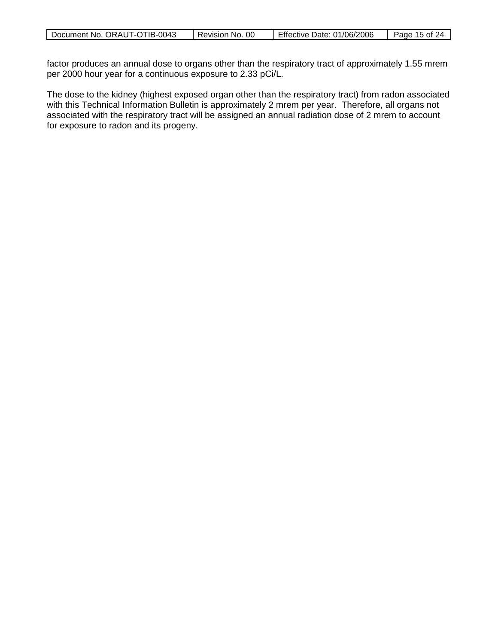| Document No. ORAUT-OTIB-0043 | 00<br>Revision No. | Effective Date: 01/06/2006 | 15 of<br>Page |
|------------------------------|--------------------|----------------------------|---------------|

factor produces an annual dose to organs other than the respiratory tract of approximately 1.55 mrem per 2000 hour year for a continuous exposure to 2.33 pCi/L.

The dose to the kidney (highest exposed organ other than the respiratory tract) from radon associated with this Technical Information Bulletin is approximately 2 mrem per year. Therefore, all organs not associated with the respiratory tract will be assigned an annual radiation dose of 2 mrem to account for exposure to radon and its progeny.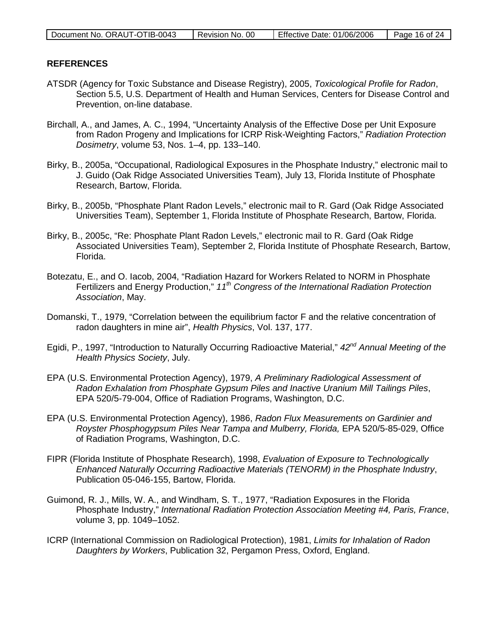| Document No. ORAUT-OTIB-0043 | Revision No. 00 | Effective Date: 01/06/2006 | Page 16 of 24 |
|------------------------------|-----------------|----------------------------|---------------|
|                              |                 |                            |               |

### **REFERENCES**

- ATSDR (Agency for Toxic Substance and Disease Registry), 2005, *Toxicological Profile for Radon*, Section 5.5, U.S. Department of Health and Human Services, Centers for Disease Control and Prevention, on-line database.
- Birchall, A., and James, A. C., 1994, "Uncertainty Analysis of the Effective Dose per Unit Exposure from Radon Progeny and Implications for ICRP Risk-Weighting Factors," *Radiation Protection Dosimetry*, volume 53, Nos. 1–4, pp. 133–140.
- Birky, B., 2005a, "Occupational, Radiological Exposures in the Phosphate Industry," electronic mail to J. Guido (Oak Ridge Associated Universities Team), July 13, Florida Institute of Phosphate Research, Bartow, Florida.
- Birky, B., 2005b, "Phosphate Plant Radon Levels," electronic mail to R. Gard (Oak Ridge Associated Universities Team), September 1, Florida Institute of Phosphate Research, Bartow, Florida.
- Birky, B., 2005c, "Re: Phosphate Plant Radon Levels," electronic mail to R. Gard (Oak Ridge Associated Universities Team), September 2, Florida Institute of Phosphate Research, Bartow, Florida.
- Botezatu, E., and O. Iacob, 2004, "Radiation Hazard for Workers Related to NORM in Phosphate Fertilizers and Energy Production," *11th Congress of the International Radiation Protection Association*, May.
- Domanski, T., 1979, "Correlation between the equilibrium factor F and the relative concentration of radon daughters in mine air", *Health Physics*, Vol. 137, 177.
- Egidi, P., 1997, "Introduction to Naturally Occurring Radioactive Material," *42nd Annual Meeting of the Health Physics Society*, July.
- EPA (U.S. Environmental Protection Agency), 1979, *A Preliminary Radiological Assessment of Radon Exhalation from Phosphate Gypsum Piles and Inactive Uranium Mill Tailings Piles*, EPA 520/5-79-004, Office of Radiation Programs, Washington, D.C.
- EPA (U.S. Environmental Protection Agency), 1986, *Radon Flux Measurements on Gardinier and Royster Phosphogypsum Piles Near Tampa and Mulberry, Florida,* EPA 520/5-85-029, Office of Radiation Programs, Washington, D.C.
- FIPR (Florida Institute of Phosphate Research), 1998, *Evaluation of Exposure to Technologically Enhanced Naturally Occurring Radioactive Materials (TENORM) in the Phosphate Industry*, Publication 05-046-155, Bartow, Florida.
- Guimond, R. J., Mills, W. A., and Windham, S. T., 1977, "Radiation Exposures in the Florida Phosphate Industry," *International Radiation Protection Association Meeting #4, Paris, France*, volume 3, pp. 1049–1052.
- ICRP (International Commission on Radiological Protection), 1981, *Limits for Inhalation of Radon Daughters by Workers*, Publication 32, Pergamon Press, Oxford, England.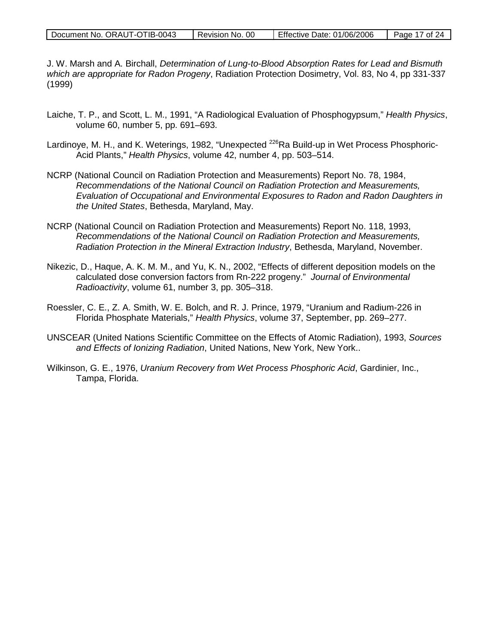| Document No. ORAUT-OTIB-0043 | Revision No. 00 | Effective Date: 01/06/2006 | Page 17 of 24 |
|------------------------------|-----------------|----------------------------|---------------|
|------------------------------|-----------------|----------------------------|---------------|

J. W. Marsh and A. Birchall, *Determination of Lung-to-Blood Absorption Rates for Lead and Bismuth which are appropriate for Radon Progeny*, Radiation Protection Dosimetry, Vol. 83, No 4, pp 331-337 (1999)

- Laiche, T. P., and Scott, L. M., 1991, "A Radiological Evaluation of Phosphogypsum," *Health Physics*, volume 60, number 5, pp. 691–693.
- Lardinoye, M. H., and K. Weterings, 1982, "Unexpected <sup>226</sup>Ra Build-up in Wet Process Phosphoric-Acid Plants," *Health Physics*, volume 42, number 4, pp. 503–514.
- NCRP (National Council on Radiation Protection and Measurements) Report No. 78, 1984, *Recommendations of the National Council on Radiation Protection and Measurements, Evaluation of Occupational and Environmental Exposures to Radon and Radon Daughters in the United States*, Bethesda, Maryland, May.
- NCRP (National Council on Radiation Protection and Measurements) Report No. 118, 1993, *Recommendations of the National Council on Radiation Protection and Measurements, Radiation Protection in the Mineral Extraction Industry*, Bethesda, Maryland, November.
- Nikezic, D., Haque, A. K. M. M., and Yu, K. N., 2002, "Effects of different deposition models on the calculated dose conversion factors from Rn-222 progeny." *Journal of Environmental Radioactivity*, volume 61, number 3, pp. 305–318.
- Roessler, C. E., Z. A. Smith, W. E. Bolch, and R. J. Prince, 1979, "Uranium and Radium-226 in Florida Phosphate Materials," *Health Physics*, volume 37, September, pp. 269–277.
- UNSCEAR (United Nations Scientific Committee on the Effects of Atomic Radiation), 1993, *Sources and Effects of Ionizing Radiation*, United Nations, New York, New York..
- Wilkinson, G. E., 1976, *Uranium Recovery from Wet Process Phosphoric Acid*, Gardinier, Inc., Tampa, Florida.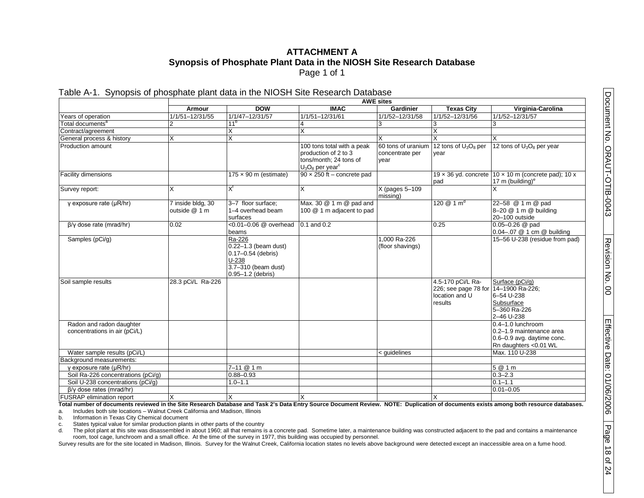### <span id="page-17-0"></span>**ATTACHMENT A Synopsis of Phosphate Plant Data in the NIOSH Site Research Database** Page 1 of 1

Table A-1. Synopsis of phosphate plant data in the NIOSH Site Research Database

|                                                           | <b>AWE sites</b>                   |                                                                                                                 |                                                                                                                |                                               |                                                                                        |                                                                                                      |
|-----------------------------------------------------------|------------------------------------|-----------------------------------------------------------------------------------------------------------------|----------------------------------------------------------------------------------------------------------------|-----------------------------------------------|----------------------------------------------------------------------------------------|------------------------------------------------------------------------------------------------------|
|                                                           | Armour                             | <b>DOW</b>                                                                                                      | <b>IMAC</b>                                                                                                    | Gardinier                                     | <b>Texas City</b>                                                                      | Virginia-Carolina                                                                                    |
| Years of operation                                        | 1/1/51-12/31/55                    | 1/1/47-12/31/57                                                                                                 | 1/1/51-12/31/61                                                                                                | 1/1/52-12/31/58                               | 1/1/52-12/31/56                                                                        | 1/1/52-12/31/57                                                                                      |
| Total documents <sup>a</sup>                              | $\overline{2}$                     | 11 <sup>b</sup>                                                                                                 |                                                                                                                | 3                                             |                                                                                        | 3                                                                                                    |
| Contract/agreement                                        |                                    | X                                                                                                               | X                                                                                                              |                                               |                                                                                        |                                                                                                      |
| General process & history                                 | X                                  | $\overline{\mathsf{x}}$                                                                                         |                                                                                                                | X                                             |                                                                                        |                                                                                                      |
| Production amount                                         |                                    |                                                                                                                 | 100 tons total with a peak<br>production of 2 to 3<br>tons/month: 24 tons of<br>$U_3O_8$ per year <sup>c</sup> | 60 tons of uranium<br>concentrate per<br>year | 12 tons of U <sub>3</sub> O <sub>8</sub> per<br>vear                                   | 12 tons of $U_3O_8$ per year                                                                         |
| Facility dimensions                                       |                                    | $175 \times 90$ m (estimate)                                                                                    | $90 \times 250$ ft - concrete pad                                                                              |                                               | pad                                                                                    | 19 x 36 yd. concrete $10 \times 10$ m (concrete pad); 10 x<br>17 m (building) <sup>e</sup>           |
| Survey report:                                            | X                                  | Χt                                                                                                              | $\overline{\mathsf{x}}$                                                                                        | X (pages 5-109<br>missing)                    |                                                                                        |                                                                                                      |
| y exposure rate $(\mu R/hr)$                              | 7 inside bldg, 30<br>outside @ 1 m | 3-7 floor surface;<br>1-4 overhead beam<br>surfaces                                                             | Max. 30 @ 1 m @ pad and<br>100 @ 1 m adjacent to pad                                                           |                                               | 120 $@1m^d$                                                                            | 22-58 @ 1 m @ pad<br>8-20 @ 1 m @ building<br>20-100 outside                                         |
| $\beta/\gamma$ dose rate (mrad/hr)                        | 0.02                               | <0.01-0.06 @ overhead<br>beams                                                                                  | $0.1$ and $0.2$                                                                                                |                                               | 0.25                                                                                   | $0.05 - 0.26$ @ pad<br>0.04-.07 @ 1 cm @ building                                                    |
| Samples (pCi/g)                                           |                                    | Ra-226<br>$0.22 - 1.3$ (beam dust)<br>0.17-0.54 (debris)<br>$U-238$<br>3.7-310 (beam dust)<br>0.95-1.2 (debris) |                                                                                                                | 1.000 Ra-226<br>(floor shavings)              |                                                                                        | 15-56 U-238 (residue from pad)                                                                       |
| Soil sample results                                       | 28.3 pCi/L Ra-226                  |                                                                                                                 |                                                                                                                |                                               | 4.5-170 pCi/L Ra-<br>226; see page 78 for 14-1900 Ra-226;<br>location and U<br>results | Surface (pCi/q)<br>6-54 U-238<br>Subsurface<br>5-360 Ra-226<br>2-46 U-238                            |
| Radon and radon daughter<br>concentrations in air (pCi/L) |                                    |                                                                                                                 |                                                                                                                |                                               |                                                                                        | 0.4-1.0 lunchroom<br>0.2-1.9 maintenance area<br>0.6-0.9 avg. daytime conc.<br>Rn daughters <0.01 WL |
| Water sample results (pCi/L)                              |                                    |                                                                                                                 |                                                                                                                | < quidelines                                  |                                                                                        | Max. 110 U-238                                                                                       |
| Background measurements:                                  |                                    |                                                                                                                 |                                                                                                                |                                               |                                                                                        |                                                                                                      |
| y exposure rate (µR/hr)                                   |                                    | $7 - 11 @ 1 m$                                                                                                  |                                                                                                                |                                               |                                                                                        | 5 @ 1 m                                                                                              |
| Soil Ra-226 concentrations (pCi/q)                        |                                    | $0.88 - 0.93$                                                                                                   |                                                                                                                |                                               |                                                                                        | $0.3 - 2.3$                                                                                          |
| Soil U-238 concentrations (pCi/g)                         |                                    | $1.0 - 1.1$                                                                                                     |                                                                                                                |                                               |                                                                                        | $\overline{0.1}$ -1.1                                                                                |
| $\beta$ /y dose rates (mrad/hr)                           |                                    |                                                                                                                 |                                                                                                                |                                               |                                                                                        | $0.01 - 0.05$                                                                                        |
| <b>FUSRAP</b> elimination report                          | X                                  | X                                                                                                               |                                                                                                                |                                               |                                                                                        |                                                                                                      |

**Total number of documents reviewed in the Site Research Database and Task 2's Data Entry Source Document Review. NOTE: Duplication of documents exists among both resource databases.** a. Includes both site locations – Walnut Creek California and Madison, Illinois

b. Information in Texas City Chemical document

c. States typical value for similar production plants in other parts of the country

d. The pilot plant at this site was disassembled in about 1960; all that remains is a concrete pad. Sometime later, a maintenance building was constructed adjacent to the pad and contains a maintenance room, tool cage, lunchroom and a small office. At the time of the survey in 1977, this building was occupied by personnel.

Survey results are for the site located in Madison, Illinois. Survey for the Walnut Creek, California location states no levels above background were detected except an inaccessible area on a fume hood.

8

of 24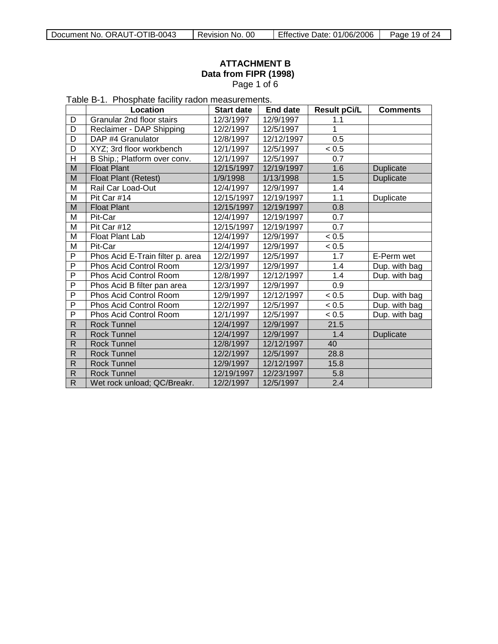# <span id="page-18-0"></span>**ATTACHMENT B Data from FIPR (1998)** Page 1 of 6

Table B-1. Phosphate facility radon measurements.

|                | Location                         | <b>Start date</b> | <b>End date</b> | <b>Result pCi/L</b> | <b>Comments</b>  |
|----------------|----------------------------------|-------------------|-----------------|---------------------|------------------|
| D              | Granular 2nd floor stairs        | 12/3/1997         | 12/9/1997       | 1.1                 |                  |
| D              | Reclaimer - DAP Shipping         | 12/2/1997         | 12/5/1997       | 1                   |                  |
| D              | DAP #4 Granulator                | 12/8/1997         | 12/12/1997      | 0.5                 |                  |
| D              | XYZ; 3rd floor workbench         | 12/1/1997         | 12/5/1997       | < 0.5               |                  |
| $\overline{H}$ | B Ship.; Platform over conv.     | 12/1/1997         | 12/5/1997       | 0.7                 |                  |
| M              | <b>Float Plant</b>               | 12/15/1997        | 12/19/1997      | 1.6                 | Duplicate        |
| M              | Float Plant (Retest)             | 1/9/1998          | 1/13/1998       | 1.5                 | <b>Duplicate</b> |
| M              | Rail Car Load-Out                | 12/4/1997         | 12/9/1997       | 1.4                 |                  |
| M              | Pit Car #14                      | 12/15/1997        | 12/19/1997      | 1.1                 | Duplicate        |
| M              | <b>Float Plant</b>               | 12/15/1997        | 12/19/1997      | 0.8                 |                  |
| M              | Pit-Car                          | 12/4/1997         | 12/19/1997      | 0.7                 |                  |
| M              | Pit Car #12                      | 12/15/1997        | 12/19/1997      | $\overline{0.7}$    |                  |
| M              | Float Plant Lab                  | 12/4/1997         | 12/9/1997       | < 0.5               |                  |
| M              | Pit-Car                          | 12/4/1997         | 12/9/1997       | < 0.5               |                  |
| P              | Phos Acid E-Train filter p. area | 12/2/1997         | 12/5/1997       | 1.7                 | E-Perm wet       |
| P              | Phos Acid Control Room           | 12/3/1997         | 12/9/1997       | 1.4                 | Dup. with bag    |
| P              | Phos Acid Control Room           | 12/8/1997         | 12/12/1997      | 1.4                 | Dup. with bag    |
| $\overline{P}$ | Phos Acid B filter pan area      | 12/3/1997         | 12/9/1997       | 0.9                 |                  |
| P              | Phos Acid Control Room           | 12/9/1997         | 12/12/1997      | < 0.5               | Dup. with bag    |
| P              | Phos Acid Control Room           | 12/2/1997         | 12/5/1997       | < 0.5               | Dup. with bag    |
| P              | Phos Acid Control Room           | 12/1/1997         | 12/5/1997       | < 0.5               | Dup. with bag    |
| $\mathsf R$    | <b>Rock Tunnel</b>               | 12/4/1997         | 12/9/1997       | 21.5                |                  |
| R              | <b>Rock Tunnel</b>               | 12/4/1997         | 12/9/1997       | 1.4                 | Duplicate        |
| $\mathsf{R}$   | <b>Rock Tunnel</b>               | 12/8/1997         | 12/12/1997      | 40                  |                  |
| ${\sf R}$      | <b>Rock Tunnel</b>               | 12/2/1997         | 12/5/1997       | 28.8                |                  |
| $\mathsf{R}$   | <b>Rock Tunnel</b>               | 12/9/1997         | 12/12/1997      | 15.8                |                  |
| $\mathsf R$    | <b>Rock Tunnel</b>               | 12/19/1997        | 12/23/1997      | 5.8                 |                  |
| $\mathsf{R}$   | Wet rock unload; QC/Breakr.      | 12/2/1997         | 12/5/1997       | 2.4                 |                  |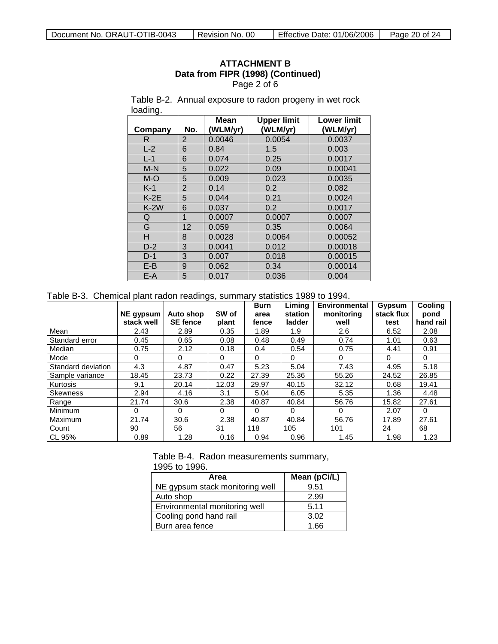## **ATTACHMENT B Data from FIPR (1998) (Continued)** Page 2 of 6

Table B-2. Annual exposure to radon progeny in wet rock loading.

| Company | No.            | Mean<br>(WLM/yr) | <b>Upper limit</b><br>(WLM/yr) | <b>Lower limit</b><br>(WLM/yr) |
|---------|----------------|------------------|--------------------------------|--------------------------------|
| R       | $\overline{2}$ | 0.0046           | 0.0054                         | 0.0037                         |
| $L-2$   | 6              | 0.84             | 1.5                            | 0.003                          |
| $L-1$   | 6              | 0.074            | 0.25                           | 0.0017                         |
| $M-N$   | 5              | 0.022            | 0.09                           | 0.00041                        |
| $M-O$   | 5              | 0.009            | 0.023                          | 0.0035                         |
| $K-1$   | $\overline{2}$ | 0.14             | 0.2                            | 0.082                          |
| $K-2E$  | 5              | 0.044            | 0.21                           | 0.0024                         |
| $K-2W$  | 6              | 0.037            | 0.2                            | 0.0017                         |
| Q       | $\mathbf{1}$   | 0.0007           | 0.0007                         | 0.0007                         |
| G       | 12             | 0.059            | 0.35                           | 0.0064                         |
| н       | 8              | 0.0028           | 0.0064                         | 0.00052                        |
| $D-2$   | 3              | 0.0041           | 0.012                          | 0.00018                        |
| $D-1$   | 3              | 0.007            | 0.018                          | 0.00015                        |
| $E-B$   | 9              | 0.062            | 0.34                           | 0.00014                        |
| E-A     | 5              | 0.017            | 0.036                          | 0.004                          |

Table B-3. Chemical plant radon readings, summary statistics 1989 to 1994.

|                    |            |                 |       | <b>Burn</b> | Liming   | Environmental | Gypsum     | Cooling   |
|--------------------|------------|-----------------|-------|-------------|----------|---------------|------------|-----------|
|                    | NE gypsum  | Auto shop       | SW of | area        | station  | monitoring    | stack flux | pond      |
|                    | stack well | <b>SE fence</b> | plant | fence       | ladder   | well          | test       | hand rail |
| Mean               | 2.43       | 2.89            | 0.35  | 1.89        | 1.9      | 2.6           | 6.52       | 2.08      |
| Standard error     | 0.45       | 0.65            | 0.08  | 0.48        | 0.49     | 0.74          | 1.01       | 0.63      |
| Median             | 0.75       | 2.12            | 0.18  | 0.4         | 0.54     | 0.75          | 4.41       | 0.91      |
| Mode               | 0          | $\Omega$        | 0     | $\Omega$    | $\Omega$ | $\Omega$      | $\Omega$   | $\Omega$  |
| Standard deviation | 4.3        | 4.87            | 0.47  | 5.23        | 5.04     | 7.43          | 4.95       | 5.18      |
| Sample variance    | 18.45      | 23.73           | 0.22  | 27.39       | 25.36    | 55.26         | 24.52      | 26.85     |
| Kurtosis           | 9.1        | 20.14           | 12.03 | 29.97       | 40.15    | 32.12         | 0.68       | 19.41     |
| <b>Skewness</b>    | 2.94       | 4.16            | 3.1   | 5.04        | 6.05     | 5.35          | 1.36       | 4.48      |
| Range              | 21.74      | 30.6            | 2.38  | 40.87       | 40.84    | 56.76         | 15.82      | 27.61     |
| Minimum            | 0          | 0               | 0     | $\Omega$    | 0        | $\Omega$      | 2.07       | $\Omega$  |
| Maximum            | 21.74      | 30.6            | 2.38  | 40.87       | 40.84    | 56.76         | 17.89      | 27.61     |
| Count              | 90         | 56              | 31    | 118         | 105      | 101           | 24         | 68        |
| CL 95%             | 0.89       | 1.28            | 0.16  | 0.94        | 0.96     | 1.45          | 1.98       | 1.23      |

Table B-4. Radon measurements summary, 1995 to 1996.

| Area                            | Mean (pCi/L) |
|---------------------------------|--------------|
| NE gypsum stack monitoring well | 9.51         |
| Auto shop                       | 2.99         |
| Environmental monitoring well   | 5.11         |
| Cooling pond hand rail          | 3.02         |
| Burn area fence                 | 1.66         |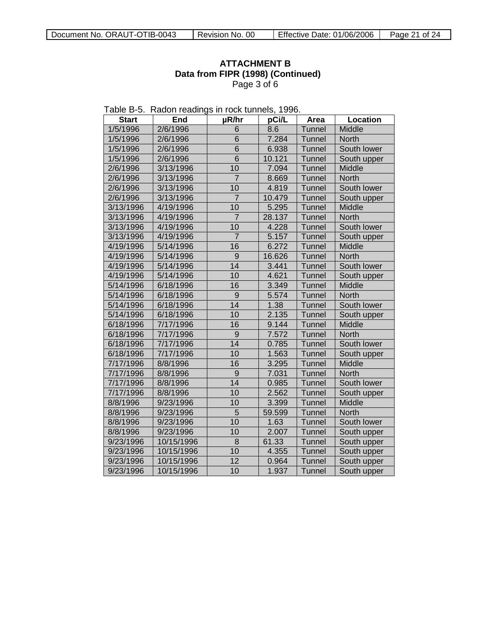# **ATTACHMENT B Data from FIPR (1998) (Continued)** Page 3 of 6

| Table B-5. Radon readings in rock tunnels, 1996. |  |  |  |  |  |  |
|--------------------------------------------------|--|--|--|--|--|--|
|--------------------------------------------------|--|--|--|--|--|--|

| <b>Start</b> | End        | µR/hr           | pCi/L  | Area          | Location     |
|--------------|------------|-----------------|--------|---------------|--------------|
| 1/5/1996     | 2/6/1996   | 6               | 8.6    | <b>Tunnel</b> | Middle       |
| 1/5/1996     | 2/6/1996   | 6               | 7.284  | Tunnel        | <b>North</b> |
| 1/5/1996     | 2/6/1996   | 6               | 6.938  | Tunnel        | South lower  |
| 1/5/1996     | 2/6/1996   | 6               | 10.121 | <b>Tunnel</b> | South upper  |
| 2/6/1996     | 3/13/1996  | 10              | 7.094  | Tunnel        | Middle       |
| 2/6/1996     | 3/13/1996  | $\overline{7}$  | 8.669  | Tunnel        | North        |
| 2/6/1996     | 3/13/1996  | 10              | 4.819  | Tunnel        | South lower  |
| 2/6/1996     | 3/13/1996  | $\overline{7}$  | 10.479 | Tunnel        | South upper  |
| 3/13/1996    | 4/19/1996  | 10              | 5.295  | Tunnel        | Middle       |
| 3/13/1996    | 4/19/1996  | $\overline{7}$  | 28.137 | Tunnel        | North        |
| 3/13/1996    | 4/19/1996  | 10              | 4.228  | Tunnel        | South lower  |
| 3/13/1996    | 4/19/1996  | $\overline{7}$  | 5.157  | Tunnel        | South upper  |
| 4/19/1996    | 5/14/1996  | 16              | 6.272  | Tunnel        | Middle       |
| 4/19/1996    | 5/14/1996  | 9               | 16.626 | Tunnel        | <b>North</b> |
| 4/19/1996    | 5/14/1996  | 14              | 3.441  | Tunnel        | South lower  |
| 4/19/1996    | 5/14/1996  | 10              | 4.621  | Tunnel        | South upper  |
| 5/14/1996    | 6/18/1996  | 16              | 3.349  | Tunnel        | Middle       |
| 5/14/1996    | 6/18/1996  | 9               | 5.574  | Tunnel        | <b>North</b> |
| 5/14/1996    | 6/18/1996  | $\overline{14}$ | 1.38   | Tunnel        | South lower  |
| 5/14/1996    | 6/18/1996  | 10              | 2.135  | Tunnel        | South upper  |
| 6/18/1996    | 7/17/1996  | 16              | 9.144  | Tunnel        | Middle       |
| 6/18/1996    | 7/17/1996  | 9               | 7.572  | Tunnel        | <b>North</b> |
| 6/18/1996    | 7/17/1996  | 14              | 0.785  | Tunnel        | South lower  |
| 6/18/1996    | 7/17/1996  | 10              | 1.563  | Tunnel        | South upper  |
| 7/17/1996    | 8/8/1996   | 16              | 3.295  | <b>Tunnel</b> | Middle       |
| 7/17/1996    | 8/8/1996   | 9               | 7.031  | <b>Tunnel</b> | <b>North</b> |
| 7/17/1996    | 8/8/1996   | $\overline{14}$ | 0.985  | Tunnel        | South lower  |
| 7/17/1996    | 8/8/1996   | 10              | 2.562  | Tunnel        | South upper  |
| 8/8/1996     | 9/23/1996  | 10              | 3.399  | Tunnel        | Middle       |
| 8/8/1996     | 9/23/1996  | $\overline{5}$  | 59.599 | Tunnel        | <b>North</b> |
| 8/8/1996     | 9/23/1996  | 10              | 1.63   | <b>Tunnel</b> | South lower  |
| 8/8/1996     | 9/23/1996  | 10              | 2.007  | <b>Tunnel</b> | South upper  |
| 9/23/1996    | 10/15/1996 | 8               | 61.33  | <b>Tunnel</b> | South upper  |
| 9/23/1996    | 10/15/1996 | 10              | 4.355  | Tunnel        | South upper  |
| 9/23/1996    | 10/15/1996 | 12              | 0.964  | Tunnel        | South upper  |
| 9/23/1996    | 10/15/1996 | 10              | 1.937  | Tunnel        | South upper  |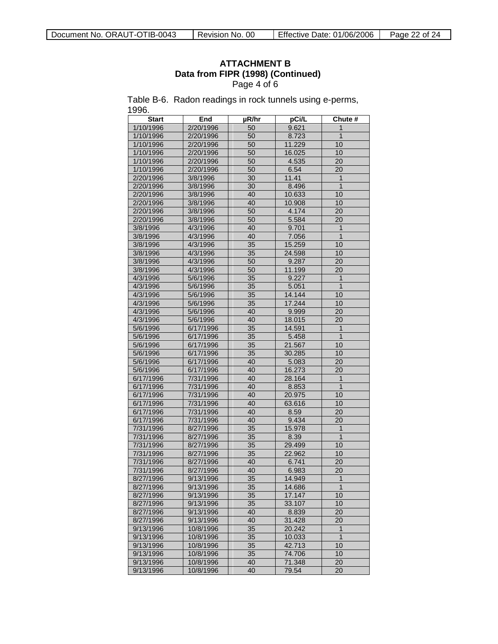# **ATTACHMENT B Data from FIPR (1998) (Continued)** Page 4 of 6

Table B-6. Radon readings in rock tunnels using e-perms, 1996.

| <b>Start</b>           | End                    | µR/hr           | pCi/L            | Chute #         |
|------------------------|------------------------|-----------------|------------------|-----------------|
| 1/10/1996              | 2/20/1996              | 50              | 9.621            | 1               |
| 1/10/1996              | 2/20/1996              | 50              | 8.723            | $\overline{1}$  |
| 1/10/1996              | 2/20/1996              | 50              | 11.229           | 10              |
| 1/10/1996              | 2/20/1996              | 50              | 16.025           | 10              |
| 1/10/1996              | 2/20/1996              | 50              | 4.535            | 20              |
| 1/10/1996              | 2/20/1996              | 50              | 6.54             | 20              |
| 2/20/1996              | 3/8/1996               | 30              | 11.41            | $\mathbf{1}$    |
| 2/20/1996              | 3/8/1996               | 30              | 8.496            | $\overline{1}$  |
| 2/20/1996              | 3/8/1996               | 40              | 10.633           | 10              |
| 2/20/1996              | 3/8/1996               | 40              | 10.908           | 10              |
| 2/20/1996              | 3/8/1996               | 50              | 4.174            | 20              |
| 2/20/1996              | 3/8/1996               | 50              | 5.584            | 20              |
| 3/8/1996               | 4/3/1996               | 40              | 9.701            | $\overline{1}$  |
| 3/8/1996               | 4/3/1996               | 40              | 7.056            | $\overline{1}$  |
| 3/8/1996               | 4/3/1996               | 35              | 15.259           | 10              |
| 3/8/1996               | 4/3/1996               | 35              | 24.598           | 10              |
| 3/8/1996               | 4/3/1996               | 50              | 9.287            | 20              |
| 3/8/1996               | 4/3/1996               | 50              | 11.199           | 20              |
| 4/3/1996               | 5/6/1996               | 35              | 9.227            | $\mathbf{1}$    |
| 4/3/1996               | 5/6/1996               | 35              | 5.051            | $\overline{1}$  |
| 4/3/1996               | 5/6/1996               | 35              | 14.144           | 10              |
| 4/3/1996               | 5/6/1996               | 35              | 17.244           | 10              |
| 4/3/1996               | 5/6/1996               | 40              | 9.999            | 20              |
| 4/3/1996               | 5/6/1996               | 40              | 18.015           | 20              |
| 5/6/1996               | 6/17/1996              | 35              | 14.591           | $\mathbf{1}$    |
| 5/6/1996               | 6/17/1996              | 35              | 5.458            | $\mathbf{1}$    |
| 5/6/1996               | 6/17/1996              | 35              | 21.567           | 10              |
| 5/6/1996               | 6/17/1996              | 35              | 30.285           | 10              |
| 5/6/1996               | 6/17/1996              | 40              | 5.083            | 20              |
| 5/6/1996               | 6/17/1996              | 40              | 16.273           | $\overline{20}$ |
| 6/17/1996              | 7/31/1996              | 40              | 28.164           | 1               |
| 6/17/1996              | 7/31/1996              | 40              | 8.853            | $\overline{1}$  |
| 6/17/1996              | 7/31/1996              | 40              | 20.975           | 10              |
| 6/17/1996              | 7/31/1996              | 40              | 63.616           | 10              |
| 6/17/1996              | 7/31/1996              | 40              | 8.59             | 20              |
| 6/17/1996              | 7/31/1996              | 40              | 9.434            | 20              |
| 7/31/1996              | 8/27/1996              | 35              | 15.978           | $\overline{1}$  |
| 7/31/1996              | 8/27/1996              | 35              | 8.39             | $\mathbf{1}$    |
| 7/31/1996              | 8/27/1996              | 35              | 29.499           | 10              |
| 7/31/1996              | 8/27/1996              | 35              | 22.962           | 10              |
| 7/31/1996              | 8/27/1996              | 40              | 6.741            | 20              |
| 7/31/1996              | 8/27/1996              | 40              | 6.983            | 20              |
| 8/27/1996              | 9/13/1996              | $\overline{35}$ | 14.949           | $\overline{1}$  |
| 8/27/1996              | 9/13/1996              | 35              | 14.686           | $\overline{1}$  |
|                        |                        |                 |                  |                 |
| 8/27/1996<br>8/27/1996 | 9/13/1996<br>9/13/1996 | 35<br>35        | 17.147<br>33.107 | 10<br>10        |
| 8/27/1996              | 9/13/1996              | 40              | 8.839            | 20              |
| 8/27/1996              | 9/13/1996              | 40              | 31.428           | 20              |
|                        |                        | 35              | 20.242           | $\mathbf{1}$    |
| 9/13/1996              | 10/8/1996<br>10/8/1996 |                 |                  | $\mathbf{1}$    |
| 9/13/1996<br>9/13/1996 | 10/8/1996              | 35<br>35        | 10.033<br>42.713 | 10              |
|                        |                        |                 |                  | 10              |
| 9/13/1996<br>9/13/1996 | 10/8/1996<br>10/8/1996 | 35<br>40        | 74.706<br>71.348 | 20              |
| 9/13/1996              | 10/8/1996              | 40              | 79.54            | 20              |
|                        |                        |                 |                  |                 |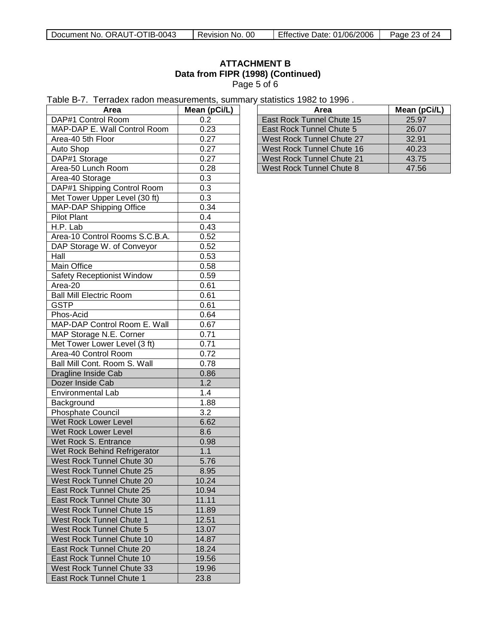| Document No. ORAUT-OTIB-0043 | Revision No. 00 | Effective Date: 01/06/2006 | Page 23 of 24 |
|------------------------------|-----------------|----------------------------|---------------|
|------------------------------|-----------------|----------------------------|---------------|

# **ATTACHMENT B Data from FIPR (1998) (Continued)** Page 5 of 6

| Table B-7. Terradex radon measurements, summary statistics 1982 to 1996. |  |
|--------------------------------------------------------------------------|--|
|--------------------------------------------------------------------------|--|

| Area                              | Mean (pCi/L) |  |
|-----------------------------------|--------------|--|
| DAP#1 Control Room                | 0.2          |  |
| MAP-DAP E. Wall Control Room      | 0.23         |  |
| Area-40 5th Floor                 | 0.27         |  |
| Auto Shop                         | 0.27         |  |
| DAP#1 Storage                     | 0.27         |  |
| Area-50 Lunch Room                | 0.28         |  |
| Area-40 Storage                   | 0.3          |  |
| DAP#1 Shipping Control Room       | 0.3          |  |
| Met Tower Upper Level (30 ft)     | 0.3          |  |
| MAP-DAP Shipping Office           | 0.34         |  |
| <b>Pilot Plant</b>                | 0.4          |  |
| H.P. Lab                          | 0.43         |  |
| Area-10 Control Rooms S.C.B.A.    | 0.52         |  |
| DAP Storage W. of Conveyor        | 0.52         |  |
| Hall                              | 0.53         |  |
| Main Office                       | 0.58         |  |
| <b>Safety Receptionist Window</b> | 0.59         |  |
| Area-20                           | 0.61         |  |
| <b>Ball Mill Electric Room</b>    | 0.61         |  |
| <b>GSTP</b>                       | 0.61         |  |
| Phos-Acid                         | 0.64         |  |
| MAP-DAP Control Room E. Wall      | 0.67         |  |
| MAP Storage N.E. Corner           | 0.71         |  |
| Met Tower Lower Level (3 ft)      | 0.71         |  |
| Area-40 Control Room              | 0.72         |  |
| Ball Mill Cont. Room S. Wall      | 0.78         |  |
| Dragline Inside Cab               | 0.86         |  |
| Dozer Inside Cab                  | 1.2          |  |
| <b>Environmental Lab</b>          | 1.4          |  |
| Background                        | 1.88         |  |
| Phosphate Council                 | 3.2          |  |
| Wet Rock Lower Level              | 6.62         |  |
| Wet Rock Lower Level              |              |  |
| Wet Rock S. Entrance              | 8.6          |  |
| Wet Rock Behind Refrigerator      | 0.98<br>1.1  |  |
|                                   |              |  |
| West Rock Tunnel Chute 30         | 5.76         |  |
| West Rock Tunnel Chute 25         | 8.95         |  |
| West Rock Tunnel Chute 20         | 10.24        |  |
| East Rock Tunnel Chute 25         | 10.94        |  |
| East Rock Tunnel Chute 30         | 11.11        |  |
| West Rock Tunnel Chute 15         | 11.89        |  |
| West Rock Tunnel Chute 1          | 12.51        |  |
| West Rock Tunnel Chute 5          | 13.07        |  |
| West Rock Tunnel Chute 10         | 14.87        |  |
| East Rock Tunnel Chute 20         | 18.24        |  |
| East Rock Tunnel Chute 10         | 19.56        |  |
| West Rock Tunnel Chute 33         | 19.96        |  |
| East Rock Tunnel Chute 1          | 23.8         |  |

| Area                      | Mean (pCi/L) |
|---------------------------|--------------|
| East Rock Tunnel Chute 15 | 25.97        |
| East Rock Tunnel Chute 5  | 26.07        |
| West Rock Tunnel Chute 27 | 32.91        |
| West Rock Tunnel Chute 16 | 40.23        |
| West Rock Tunnel Chute 21 | 43.75        |
| West Rock Tunnel Chute 8  | 47.56        |